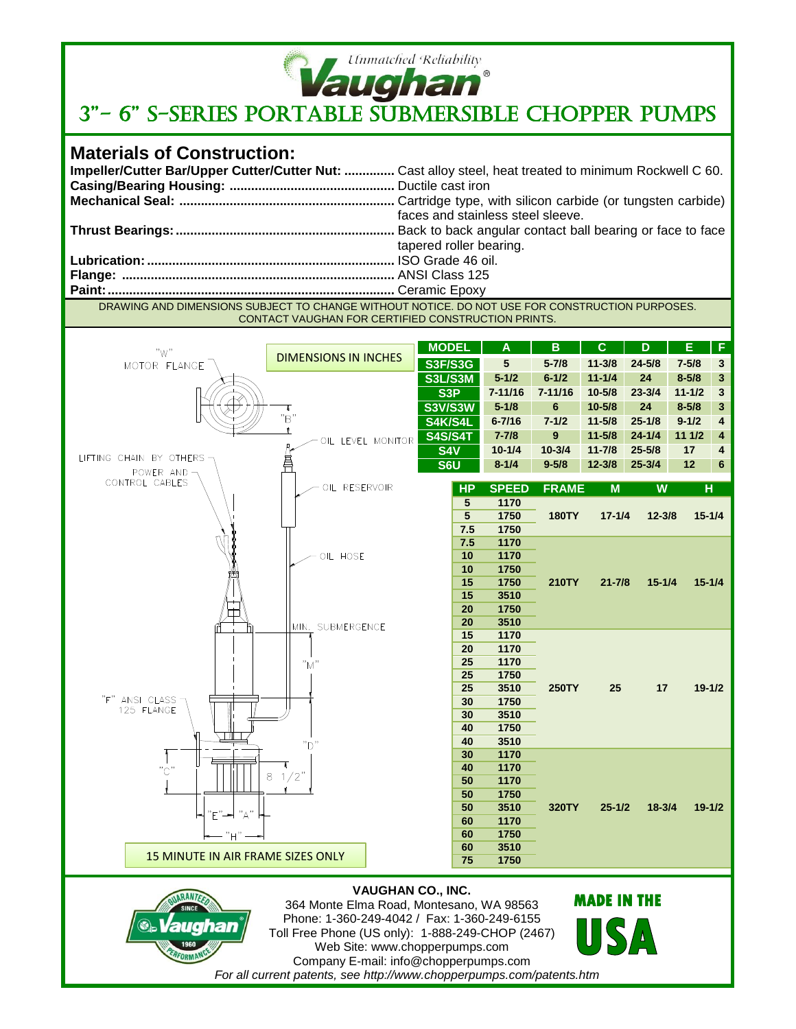

## <sup>Ufmnatched Reliability</sup><br>3"- 6" S-SERIES PORTABLE SUBMERSIBLE CHOPPER PUMPS

## **Materials of Construction:**

1960 PERFORMANCE

|                                                                                              | Impeller/Cutter Bar/Upper Cutter/Cutter Nut:  Cast alloy steel, heat treated to minimum Rockwell C 60. |  |  |  |  |  |
|----------------------------------------------------------------------------------------------|--------------------------------------------------------------------------------------------------------|--|--|--|--|--|
|                                                                                              |                                                                                                        |  |  |  |  |  |
|                                                                                              |                                                                                                        |  |  |  |  |  |
|                                                                                              | faces and stainless steel sleeve.                                                                      |  |  |  |  |  |
|                                                                                              |                                                                                                        |  |  |  |  |  |
|                                                                                              | tapered roller bearing.                                                                                |  |  |  |  |  |
|                                                                                              |                                                                                                        |  |  |  |  |  |
|                                                                                              |                                                                                                        |  |  |  |  |  |
|                                                                                              |                                                                                                        |  |  |  |  |  |
| DRAMING AND DIMENSIONS SUBJECT TO CHANCE WITHOUT NOTICE DO NOT HSE EOR CONSTRUCTION RURDOSES |                                                                                                        |  |  |  |  |  |

DRAWING AND DIMENSIONS SUBJECT TO CHANGE WITHOUT NOTICE. DO NOT USE FOR CONSTRUCTION PURPOSES. CONTACT VAUGHAN FOR CERTIFIED CONSTRUCTION PRINTS.

| "W"<br>MOTOR FLANGE                        | <b>DIMENSIONS IN INCHES</b>                                                                                                                                                | <b>MODEL</b>   | A            | B            | C.                 | D          | Ε          | F            |  |
|--------------------------------------------|----------------------------------------------------------------------------------------------------------------------------------------------------------------------------|----------------|--------------|--------------|--------------------|------------|------------|--------------|--|
|                                            |                                                                                                                                                                            | <b>S3F/S3G</b> | ${\bf 5}$    | $5 - 7/8$    | $11 - 3/8$         | $24 - 5/8$ | $7 - 5/8$  | $\mathbf{3}$ |  |
|                                            |                                                                                                                                                                            | <b>S3L/S3M</b> | $5 - 1/2$    | $6 - 1/2$    | $11 - 1/4$         | 24         | $8 - 5/8$  | $\mathbf{3}$ |  |
|                                            |                                                                                                                                                                            | S3P            | $7 - 11/16$  | $7 - 11/16$  | $10 - 5/8$         | $23 - 3/4$ | $11 - 1/2$ | $\mathbf 3$  |  |
|                                            | τ                                                                                                                                                                          | <b>S3V/S3W</b> | $5 - 1/8$    | 6            | $10 - 5/8$         | 24         | $8 - 5/8$  | $\mathbf{3}$ |  |
|                                            | "B"                                                                                                                                                                        | S4K/S4L        | $6 - 7/16$   | $7 - 1/2$    | $11 - 5/8$         | $25 - 1/8$ | $9 - 1/2$  | 4            |  |
|                                            | $\mathbf{r}$                                                                                                                                                               | <b>S4S/S4T</b> | $7 - 7/8$    | 9            | $11 - 5/8$         | $24 - 1/4$ | 11 1/2     | 4            |  |
|                                            | OIL LEVEL MONITOR                                                                                                                                                          | S4V            | $10 - 1/4$   | $10 - 3/4$   | $11 - 7/8$         | $25 - 5/8$ | 17         | 4            |  |
| LIFTING CHAIN BY OTHERS                    | 昌                                                                                                                                                                          | S6U            | $8 - 1/4$    | $9 - 5/8$    | $12 - 3/8$         | $25 - 3/4$ | 12         | 6            |  |
| POWER AND-<br>CONTROL CABLES               |                                                                                                                                                                            |                |              |              |                    |            |            |              |  |
|                                            | OIL RESERVOIR                                                                                                                                                              | <b>HP</b>      | <b>SPEED</b> | <b>FRAME</b> | M                  | W          | H          |              |  |
|                                            |                                                                                                                                                                            | 5              | 1170         |              |                    |            |            |              |  |
|                                            |                                                                                                                                                                            | 5              | 1750         | <b>180TY</b> | $17 - 1/4$         | $12 - 3/8$ |            | $15 - 1/4$   |  |
|                                            |                                                                                                                                                                            | 7.5            | 1750         |              |                    |            |            |              |  |
|                                            | OIL HOSE                                                                                                                                                                   | 7.5<br>10      | 1170<br>1170 |              |                    |            |            |              |  |
|                                            |                                                                                                                                                                            | 10             | 1750         |              |                    |            |            |              |  |
|                                            |                                                                                                                                                                            | 15             | 1750         | <b>210TY</b> | $21 - 7/8$         | $15 - 1/4$ |            | $15 - 1/4$   |  |
|                                            |                                                                                                                                                                            | 15             | 3510         |              |                    |            |            |              |  |
|                                            |                                                                                                                                                                            | 20             | 1750         |              |                    |            |            |              |  |
|                                            | MIN. SUBMERGENCE                                                                                                                                                           | 20             | 3510         |              |                    |            |            |              |  |
|                                            |                                                                                                                                                                            | 15             | 1170         |              |                    |            |            |              |  |
|                                            |                                                                                                                                                                            | 20             | 1170         |              |                    |            |            |              |  |
|                                            | "M"                                                                                                                                                                        | 25             | 1170         |              |                    |            |            |              |  |
|                                            |                                                                                                                                                                            | 25             | 1750         |              |                    |            |            |              |  |
|                                            |                                                                                                                                                                            | 25             | 3510         | <b>250TY</b> | 25                 | 17         |            | $19 - 1/2$   |  |
| "F" ANSI CLASS -<br>125 FLANGE             |                                                                                                                                                                            | 30             | 1750         |              |                    |            |            |              |  |
|                                            |                                                                                                                                                                            | 30             | 3510         |              |                    |            |            |              |  |
|                                            |                                                                                                                                                                            | 40<br>40       | 1750<br>3510 |              |                    |            |            |              |  |
|                                            | "ר"                                                                                                                                                                        | 30             | 1170         |              |                    |            |            |              |  |
| "C"                                        |                                                                                                                                                                            | 40             | 1170         |              |                    |            |            |              |  |
|                                            | $1/2$ "<br>8                                                                                                                                                               | 50             | 1170         |              |                    |            |            |              |  |
|                                            |                                                                                                                                                                            | 50             | 1750         |              |                    |            |            |              |  |
|                                            |                                                                                                                                                                            | 50             | 3510         | 320TY        | $25 - 1/2$         | $18 - 3/4$ |            | $19 - 1/2$   |  |
| "E"━ "A"                                   |                                                                                                                                                                            | 60             | 1170         |              |                    |            |            |              |  |
| – "H" –                                    |                                                                                                                                                                            | 60             | 1750         |              |                    |            |            |              |  |
|                                            |                                                                                                                                                                            | 60             | 3510         |              |                    |            |            |              |  |
| 15 MINUTE IN AIR FRAME SIZES ONLY          |                                                                                                                                                                            | 75             | 1750         |              |                    |            |            |              |  |
| ARANTEF<br><b>Vaughan</b><br>$\circledast$ | <b>VAUGHAN CO., INC.</b><br>364 Monte Elma Road, Montesano, WA 98563<br>Phone: 1-360-249-4042 / Fax: 1-360-249-6155<br>$T_2$ U Free Dhana (UC anh.): 4,000,040 CUOD (0407) |                |              |              | <b>MADE IN THE</b> |            |            |              |  |

Toll Free Phone (US only): 1-888-249-CHOP (2467) Web Site: www.chopperpumps.com Company E-mail: info@chopperpumps.com *For all current patents, see http://www.chopperpumps.com/patents.htm*